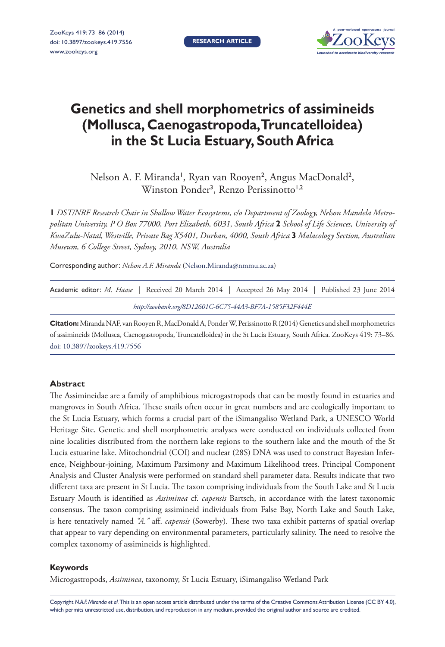

# **Genetics and shell morphometrics of assimineids (Mollusca, Caenogastropoda, Truncatelloidea) in the St Lucia Estuary, South Africa**

Nelson A. F. Miranda<sup>1</sup>, Ryan van Rooyen<sup>2</sup>, Angus MacDonald<sup>2</sup>, Winston Ponder<sup>3</sup>, Renzo Perissinotto<sup>1,2</sup>

**1** *DST/NRF Research Chair in Shallow Water Ecosystems, c/o Department of Zoology, Nelson Mandela Metropolitan University, P O Box 77000, Port Elizabeth, 6031, South Africa* **2** *School of Life Sciences, University of KwaZulu-Natal, Westville, Private Bag X5401, Durban, 4000, South Africa* **3** *Malacology Section, Australian Museum, 6 College Street, Sydney, 2010, NSW, Australia*

Corresponding author: *Nelson A.F. Miranda* [\(Nelson.Miranda@nmmu.ac.za\)](mailto:Nelson.Miranda@nmmu.ac.za)

| Academic editor: <i>M. Haase</i>   Received 20 March 2014   Accepted 26 May 2014   Published 23 June 2014 |  |  |  |  |  |  |  |
|-----------------------------------------------------------------------------------------------------------|--|--|--|--|--|--|--|
| http://zoobank.org/8D12601C-6C75-44A3-BF7A-1585F32F444E                                                   |  |  |  |  |  |  |  |

**Citation:** Miranda NAF, van Rooyen R, MacDonald A, Ponder W, Perissinotto R (2014) Genetics and shell morphometrics of assimineids (Mollusca, Caenogastropoda, Truncatelloidea) in the St Lucia Estuary, South Africa. ZooKeys 419: 73–86. [doi: 10.3897/zookeys.419.7556](http://dx.doi.org/10.3897/zookeys.419.7556)

#### **Abstract**

The Assimineidae are a family of amphibious microgastropods that can be mostly found in estuaries and mangroves in South Africa. These snails often occur in great numbers and are ecologically important to the St Lucia Estuary, which forms a crucial part of the iSimangaliso Wetland Park, a UNESCO World Heritage Site. Genetic and shell morphometric analyses were conducted on individuals collected from nine localities distributed from the northern lake regions to the southern lake and the mouth of the St Lucia estuarine lake. Mitochondrial (COI) and nuclear (28S) DNA was used to construct Bayesian Inference, Neighbour-joining, Maximum Parsimony and Maximum Likelihood trees. Principal Component Analysis and Cluster Analysis were performed on standard shell parameter data. Results indicate that two different taxa are present in St Lucia. The taxon comprising individuals from the South Lake and St Lucia Estuary Mouth is identified as *Assiminea* cf. *capensis* Bartsch, in accordance with the latest taxonomic consensus. The taxon comprising assimineid individuals from False Bay, North Lake and South Lake, is here tentatively named *"A."* aff. *capensis* (Sowerby)*.* These two taxa exhibit patterns of spatial overlap that appear to vary depending on environmental parameters, particularly salinity. The need to resolve the complex taxonomy of assimineids is highlighted.

#### **Keywords**

Microgastropods, *Assiminea*, taxonomy, St Lucia Estuary, iSimangaliso Wetland Park

Copyright *N.A.F. Miranda et al.* This is an open access article distributed under the terms of the [Creative Commons Attribution License \(CC BY 4.0\),](http://creativecommons.org/licenses/by/4.0/) which permits unrestricted use, distribution, and reproduction in any medium, provided the original author and source are credited.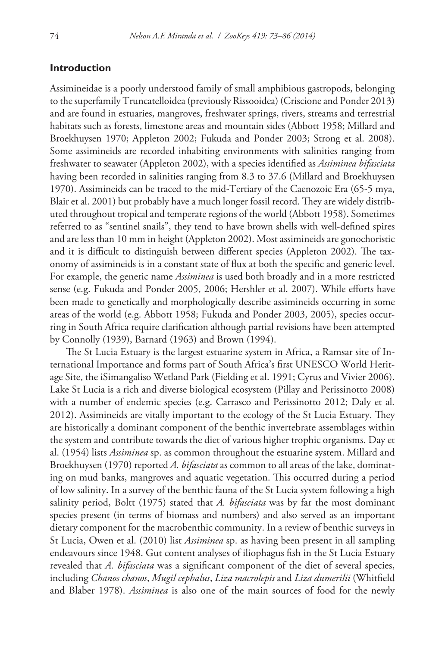## **Introduction**

Assimineidae is a poorly understood family of small amphibious gastropods, belonging to the superfamily Truncatelloidea (previously Rissooidea) (Criscione and Ponder 2013) and are found in estuaries, mangroves, freshwater springs, rivers, streams and terrestrial habitats such as forests, limestone areas and mountain sides (Abbott 1958; Millard and Broekhuysen 1970; Appleton 2002; Fukuda and Ponder 2003; Strong et al. 2008). Some assimineids are recorded inhabiting environments with salinities ranging from freshwater to seawater (Appleton 2002), with a species identified as *Assiminea bifasciata*  having been recorded in salinities ranging from 8.3 to 37.6 (Millard and Broekhuysen 1970). Assimineids can be traced to the mid-Tertiary of the Caenozoic Era (65-5 mya, Blair et al. 2001) but probably have a much longer fossil record. They are widely distributed throughout tropical and temperate regions of the world (Abbott 1958). Sometimes referred to as "sentinel snails", they tend to have brown shells with well-defined spires and are less than 10 mm in height (Appleton 2002). Most assimineids are gonochoristic and it is difficult to distinguish between different species (Appleton 2002). The taxonomy of assimineids is in a constant state of flux at both the specific and generic level. For example, the generic name *Assiminea* is used both broadly and in a more restricted sense (e.g. Fukuda and Ponder 2005, 2006; Hershler et al. 2007). While efforts have been made to genetically and morphologically describe assimineids occurring in some areas of the world (e.g. Abbott 1958; Fukuda and Ponder 2003, 2005), species occurring in South Africa require clarification although partial revisions have been attempted by Connolly (1939), Barnard (1963) and Brown (1994).

The St Lucia Estuary is the largest estuarine system in Africa, a Ramsar site of International Importance and forms part of South Africa's first UNESCO World Heritage Site, the iSimangaliso Wetland Park (Fielding et al. 1991; Cyrus and Vivier 2006). Lake St Lucia is a rich and diverse biological ecosystem (Pillay and Perissinotto 2008) with a number of endemic species (e.g. Carrasco and Perissinotto 2012; Daly et al*.*  2012). Assimineids are vitally important to the ecology of the St Lucia Estuary. They are historically a dominant component of the benthic invertebrate assemblages within the system and contribute towards the diet of various higher trophic organisms. Day et al. (1954) lists *Assiminea* sp. as common throughout the estuarine system. Millard and Broekhuysen (1970) reported *A. bifasciata* as common to all areas of the lake, dominating on mud banks, mangroves and aquatic vegetation. This occurred during a period of low salinity. In a survey of the benthic fauna of the St Lucia system following a high salinity period, Boltt (1975) stated that *A. bifasciata* was by far the most dominant species present (in terms of biomass and numbers) and also served as an important dietary component for the macrobenthic community. In a review of benthic surveys in St Lucia, Owen et al. (2010) list *Assiminea* sp. as having been present in all sampling endeavours since 1948. Gut content analyses of iliophagus fish in the St Lucia Estuary revealed that *A. bifasciata* was a significant component of the diet of several species, including *Chanos chanos*, *Mugil cephalus*, *Liza macrolepis* and *Liza dumerilii* (Whitfield and Blaber 1978). *Assiminea* is also one of the main sources of food for the newly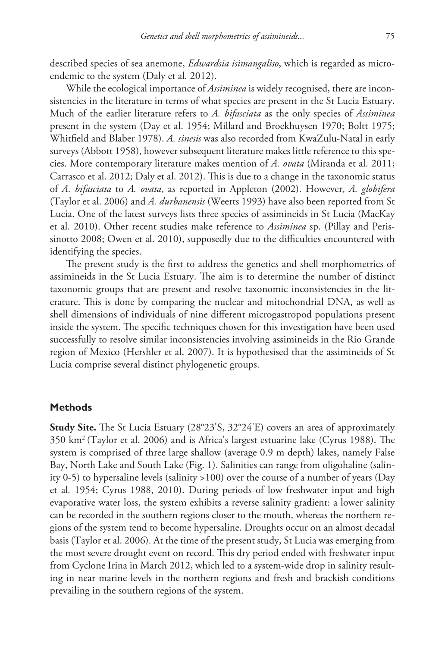described species of sea anemone, *Edwardsia isimangaliso*, which is regarded as microendemic to the system (Daly et al*.* 2012).

While the ecological importance of *Assiminea* is widely recognised, there are inconsistencies in the literature in terms of what species are present in the St Lucia Estuary. Much of the earlier literature refers to *A. bifasciata* as the only species of *Assiminea*  present in the system (Day et al. 1954; Millard and Broekhuysen 1970; Boltt 1975; Whitfield and Blaber 1978). *A. sinesis* was also recorded from KwaZulu-Natal in early surveys (Abbott 1958), however subsequent literature makes little reference to this species. More contemporary literature makes mention of *A. ovata* (Miranda et al. 2011; Carrasco et al. 2012; Daly et al. 2012). This is due to a change in the taxonomic status of *A. bifasciata* to *A. ovata*, as reported in Appleton (2002). However, *A. globifera*  (Taylor et al. 2006) and *A. durbanensis* (Weerts 1993) have also been reported from St Lucia. One of the latest surveys lists three species of assimineids in St Lucia (MacKay et al. 2010). Other recent studies make reference to *Assiminea* sp. (Pillay and Perissinotto 2008; Owen et al. 2010), supposedly due to the difficulties encountered with identifying the species.

The present study is the first to address the genetics and shell morphometrics of assimineids in the St Lucia Estuary. The aim is to determine the number of distinct taxonomic groups that are present and resolve taxonomic inconsistencies in the literature. This is done by comparing the nuclear and mitochondrial DNA, as well as shell dimensions of individuals of nine different microgastropod populations present inside the system. The specific techniques chosen for this investigation have been used successfully to resolve similar inconsistencies involving assimineids in the Rio Grande region of Mexico (Hershler et al. 2007). It is hypothesised that the assimineids of St Lucia comprise several distinct phylogenetic groups.

## **Methods**

**Study Site.** The St Lucia Estuary (28°23'S, 32°24'E) covers an area of approximately 350 km2 (Taylor et al. 2006) and is Africa's largest estuarine lake (Cyrus 1988). The system is comprised of three large shallow (average 0.9 m depth) lakes, namely False Bay, North Lake and South Lake (Fig. 1). Salinities can range from oligohaline (salinity 0-5) to hypersaline levels (salinity >100) over the course of a number of years (Day et al*.* 1954; Cyrus 1988, 2010). During periods of low freshwater input and high evaporative water loss, the system exhibits a reverse salinity gradient: a lower salinity can be recorded in the southern regions closer to the mouth, whereas the northern regions of the system tend to become hypersaline. Droughts occur on an almost decadal basis (Taylor et al. 2006). At the time of the present study, St Lucia was emerging from the most severe drought event on record. This dry period ended with freshwater input from Cyclone Irina in March 2012, which led to a system-wide drop in salinity resulting in near marine levels in the northern regions and fresh and brackish conditions prevailing in the southern regions of the system.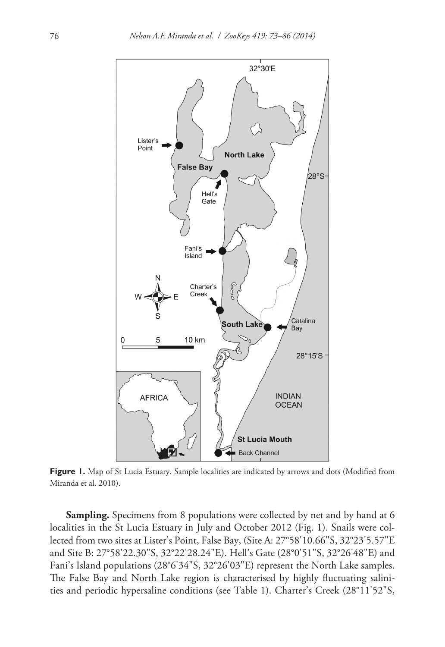

**Figure 1.** Map of St Lucia Estuary. Sample localities are indicated by arrows and dots (Modified from Miranda et al. 2010).

**Sampling.** Specimens from 8 populations were collected by net and by hand at 6 localities in the St Lucia Estuary in July and October 2012 (Fig. 1). Snails were collected from two sites at Lister's Point, False Bay, (Site A: 27°58'10.66"S, 32°23'5.57"E and Site B: 27°58'22.30"S, 32°22'28.24"E). Hell's Gate (28°0'51"S, 32°26'48"E) and Fani's Island populations (28°6'34"S, 32°26'03"E) represent the North Lake samples. The False Bay and North Lake region is characterised by highly fluctuating salinities and periodic hypersaline conditions (see Table 1). Charter's Creek (28°11'52"S,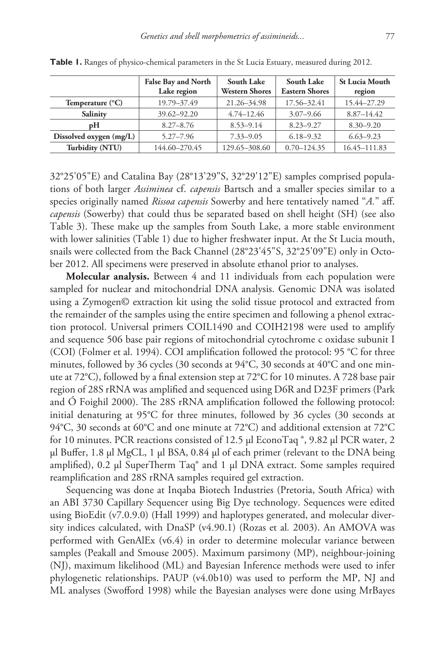|                           | <b>False Bay and North</b><br>Lake region | South Lake<br><b>Western Shores</b> | <b>South Lake</b><br><b>Eastern Shores</b> | <b>St Lucia Mouth</b><br>region |
|---------------------------|-------------------------------------------|-------------------------------------|--------------------------------------------|---------------------------------|
| Temperature $(^{\circ}C)$ | 19.79-37.49                               | 21.26-34.98                         | 17.56-32.41                                | 15.44-27.29                     |
| Salinity                  | 39.62-92.20                               | $4.74 - 12.46$                      | $3.07 - 9.66$                              | $8.87 - 14.42$                  |
| pН                        | $8.27 - 8.76$                             | $8.53 - 9.14$                       | $8.23 - 9.27$                              | $8.30 - 9.20$                   |
| Dissolved oxygen (mg/L)   | $5.27 - 7.96$                             | $7.33 - 9.05$                       | $6.18 - 9.32$                              | $6.63 - 9.23$                   |
| Turbidity (NTU)           | 144.60-270.45                             | 129.65-308.60                       | $0.70 - 124.35$                            | 16.45-111.83                    |

Table 1. Ranges of physico-chemical parameters in the St Lucia Estuary, measured during 2012.

32°25'05"E) and Catalina Bay (28°13'29"S, 32°29'12"E) samples comprised populations of both larger *Assiminea* cf. *capensis* Bartsch and a smaller species similar to a species originally named *Rissoa capensis* Sowerby and here tentatively named "*A.*" aff. *capensis* (Sowerby) that could thus be separated based on shell height (SH) (see also Table 3). These make up the samples from South Lake, a more stable environment with lower salinities (Table 1) due to higher freshwater input. At the St Lucia mouth, snails were collected from the Back Channel (28°23'45"S, 32°25'09"E) only in October 2012. All specimens were preserved in absolute ethanol prior to analyses.

**Molecular analysis.** Between 4 and 11 individuals from each population were sampled for nuclear and mitochondrial DNA analysis. Genomic DNA was isolated using a Zymogen© extraction kit using the solid tissue protocol and extracted from the remainder of the samples using the entire specimen and following a phenol extraction protocol. Universal primers COIL1490 and COIH2198 were used to amplify and sequence 506 base pair regions of mitochondrial cytochrome c oxidase subunit I (COI) (Folmer et al. 1994). COI amplification followed the protocol: 95 °C for three minutes, followed by 36 cycles (30 seconds at 94°C, 30 seconds at 40°C and one minute at 72°C), followed by a final extension step at 72°C for 10 minutes. A 728 base pair region of 28S rRNA was amplified and sequenced using D6R and D23F primers (Park and Ó Foighil 2000). The 28S rRNA amplification followed the following protocol: initial denaturing at 95°C for three minutes, followed by 36 cycles (30 seconds at 94°C, 30 seconds at 60°C and one minute at 72°C) and additional extension at 72°C for 10 minutes. PCR reactions consisted of 12.5 µl EconoTaq ®, 9.82 µl PCR water, 2 µl Buffer, 1.8 µl MgCL, 1 µl BSA, 0.84 µl of each primer (relevant to the DNA being amplified), 0.2 µl SuperTherm Taq® and 1 µl DNA extract. Some samples required reamplification and 28S rRNA samples required gel extraction.

Sequencing was done at Inqaba Biotech Industries (Pretoria, South Africa) with an ABI 3730 Capillary Sequencer using Big Dye technology. Sequences were edited using BioEdit (v7.0.9.0) (Hall 1999) and haplotypes generated, and molecular diversity indices calculated, with DnaSP (v4.90.1) (Rozas et al*.* 2003). An AMOVA was performed with GenAlEx (v6.4) in order to determine molecular variance between samples (Peakall and Smouse 2005). Maximum parsimony (MP), neighbour-joining (NJ), maximum likelihood (ML) and Bayesian Inference methods were used to infer phylogenetic relationships. PAUP (v4.0b10) was used to perform the MP, NJ and ML analyses (Swofford 1998) while the Bayesian analyses were done using MrBayes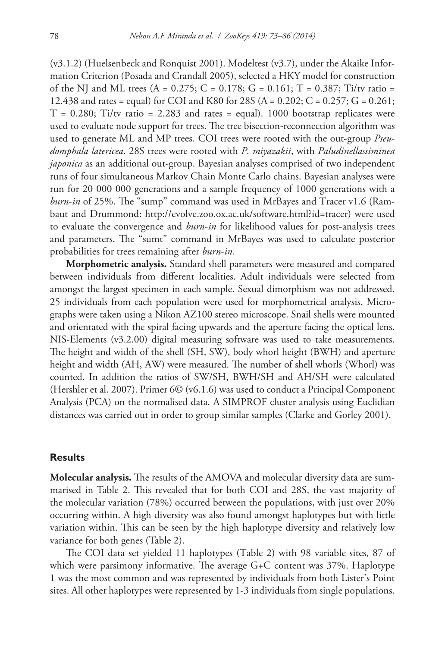(v3.1.2) (Huelsenbeck and Ronquist 2001). Modeltest (v3.7), under the Akaike Information Criterion (Posada and Crandall 2005), selected a HKY model for construction of the NJ and ML trees  $(A = 0.275; C = 0.178; G = 0.161; T = 0.387; Ti/tv$  ratio = 12.438 and rates = equal) for COI and K80 for 28S (A = 0.202; C = 0.257; G = 0.261;  $T = 0.280$ ; Ti/tv ratio = 2.283 and rates = equal). 1000 bootstrap replicates were used to evaluate node support for trees. The tree bisection-reconnection algorithm was used to generate ML and MP trees. COI trees were rooted with the out-group *Pseudomphala latericea*. 28S trees were rooted with *P. miyazakii*, with *Paludinellassiminea japonica* as an additional out-group. Bayesian analyses comprised of two independent runs of four simultaneous Markov Chain Monte Carlo chains. Bayesian analyses were run for 20 000 000 generations and a sample frequency of 1000 generations with a *burn-in* of 25%. The "sump" command was used in MrBayes and Tracer v1.6 (Rambaut and Drummond: [http://evolve.zoo.ox.ac.uk/software.html?id=tracer\)](http://evolve.zoo.ox.ac.uk/software.html?id=tracer) were used to evaluate the convergence and *burn-in* for likelihood values for post-analysis trees and parameters. The "sumt" command in MrBayes was used to calculate posterior probabilities for trees remaining after *burn-in.*

**Morphometric analysis.** Standard shell parameters were measured and compared between individuals from different localities. Adult individuals were selected from amongst the largest specimen in each sample. Sexual dimorphism was not addressed. 25 individuals from each population were used for morphometrical analysis. Micrographs were taken using a Nikon AZ100 stereo microscope. Snail shells were mounted and orientated with the spiral facing upwards and the aperture facing the optical lens. NIS-Elements (v3.2.00) digital measuring software was used to take measurements. The height and width of the shell (SH, SW), body whorl height (BWH) and aperture height and width (AH, AW) were measured. The number of shell whorls (Whorl) was counted. In addition the ratios of SW/SH, BWH/SH and AH/SH were calculated (Hershler et al. 2007). Primer 6© (v6.1.6) was used to conduct a Principal Component Analysis (PCA) on the normalised data. A SIMPROF cluster analysis using Euclidian distances was carried out in order to group similar samples (Clarke and Gorley 2001).

#### **Results**

**Molecular analysis.** The results of the AMOVA and molecular diversity data are summarised in Table 2. This revealed that for both COI and 28S, the vast majority of the molecular variation (78%) occurred between the populations, with just over 20% occurring within. A high diversity was also found amongst haplotypes but with little variation within. This can be seen by the high haplotype diversity and relatively low variance for both genes (Table 2).

The COI data set yielded 11 haplotypes (Table 2) with 98 variable sites, 87 of which were parsimony informative. The average G+C content was 37%. Haplotype 1 was the most common and was represented by individuals from both Lister's Point sites. All other haplotypes were represented by 1-3 individuals from single populations.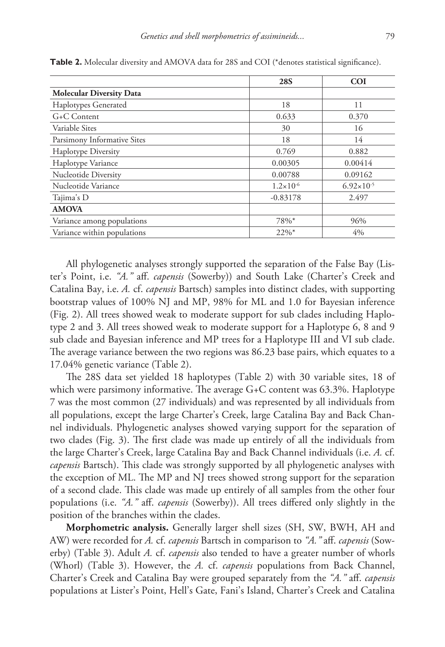|                                 | <b>28S</b>           | <b>COI</b>            |
|---------------------------------|----------------------|-----------------------|
| <b>Molecular Diversity Data</b> |                      |                       |
| Haplotypes Generated            | 18                   | 11                    |
| G+C Content                     | 0.633                | 0.370                 |
| Variable Sites                  | 30                   | 16                    |
| Parsimony Informative Sites     | 18                   | 14                    |
| <b>Haplotype Diversity</b>      | 0.769                | 0.882                 |
| Haplotype Variance              | 0.00305              | 0.00414               |
| Nucleotide Diversity            | 0.00788              | 0.09162               |
| Nucleotide Variance             | $1.2 \times 10^{-6}$ | $6.92 \times 10^{-5}$ |
| Tajima's D                      | $-0.83178$           | 2.497                 |
| <b>AMOVA</b>                    |                      |                       |
| Variance among populations      | 78%*                 | 96%                   |
| Variance within populations     | $22\%$ <sup>*</sup>  | 4%                    |

Table 2. Molecular diversity and AMOVA data for 28S and COI (\*denotes statistical significance).

All phylogenetic analyses strongly supported the separation of the False Bay (Lister's Point, i.e. *"A."* aff. *capensis* (Sowerby)) and South Lake (Charter's Creek and Catalina Bay, i.e. *A.* cf. *capensis* Bartsch) samples into distinct clades, with supporting bootstrap values of 100% NJ and MP, 98% for ML and 1.0 for Bayesian inference (Fig. 2). All trees showed weak to moderate support for sub clades including Haplotype 2 and 3. All trees showed weak to moderate support for a Haplotype 6, 8 and 9 sub clade and Bayesian inference and MP trees for a Haplotype III and VI sub clade. The average variance between the two regions was 86.23 base pairs, which equates to a 17.04% genetic variance (Table 2).

The 28S data set yielded 18 haplotypes (Table 2) with 30 variable sites, 18 of which were parsimony informative. The average G+C content was 63.3%. Haplotype 7 was the most common (27 individuals) and was represented by all individuals from all populations, except the large Charter's Creek, large Catalina Bay and Back Channel individuals. Phylogenetic analyses showed varying support for the separation of two clades (Fig. 3). The first clade was made up entirely of all the individuals from the large Charter's Creek, large Catalina Bay and Back Channel individuals (i.e. *A.* cf. *capensis* Bartsch). This clade was strongly supported by all phylogenetic analyses with the exception of ML. The MP and NJ trees showed strong support for the separation of a second clade. This clade was made up entirely of all samples from the other four populations (i.e. *"A."* aff. *capensis* (Sowerby)). All trees differed only slightly in the position of the branches within the clades.

**Morphometric analysis.** Generally larger shell sizes (SH, SW, BWH, AH and AW) were recorded for *A.* cf. *capensis* Bartsch in comparison to *"A."* aff. *capensis* (Sowerby) (Table 3). Adult *A.* cf. *capensis* also tended to have a greater number of whorls (Whorl) (Table 3). However, the *A.* cf. *capensis* populations from Back Channel, Charter's Creek and Catalina Bay were grouped separately from the *"A."* aff. *capensis* populations at Lister's Point, Hell's Gate, Fani's Island, Charter's Creek and Catalina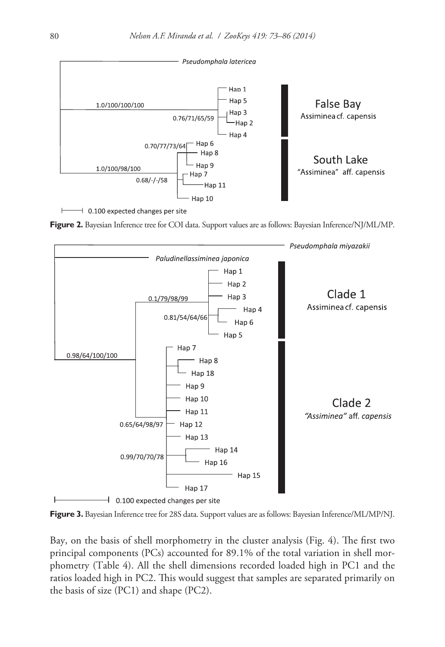

 $\pm$  0.100 expected changes per site





**Figure 3.** Bayesian Inference tree for 28S data. Support values are as follows: Bayesian Inference/ML/MP/NJ.

Bay, on the basis of shell morphometry in the cluster analysis (Fig. 4). The first two principal components (PCs) accounted for 89.1% of the total variation in shell morphometry (Table 4). All the shell dimensions recorded loaded high in PC1 and the ratios loaded high in PC2. This would suggest that samples are separated primarily on the basis of size (PC1) and shape (PC2).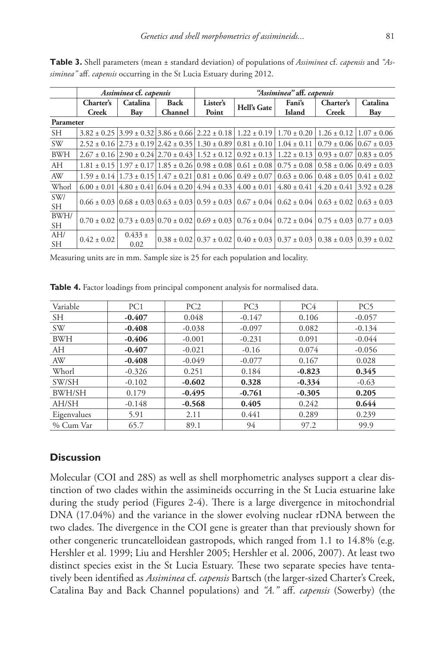|                  |                           | Assiminea cf. capensis |                        | "Assiminea" aff. capensis |                                                                                         |                  |                                                                                                                                               |                 |  |
|------------------|---------------------------|------------------------|------------------------|---------------------------|-----------------------------------------------------------------------------------------|------------------|-----------------------------------------------------------------------------------------------------------------------------------------------|-----------------|--|
|                  | Charter's<br><b>Creek</b> | Catalina<br>Bay        | <b>Back</b><br>Channel | Lister's<br>Point         | Hell's Gate                                                                             | Fani's<br>Island | Charter's<br><b>Creek</b>                                                                                                                     | Catalina<br>Bay |  |
| Parameter        |                           |                        |                        |                           |                                                                                         |                  |                                                                                                                                               |                 |  |
| <b>SH</b>        |                           |                        |                        |                           |                                                                                         |                  | $3.82 \pm 0.25$   $3.99 \pm 0.32$   $3.86 \pm 0.66$   $2.22 \pm 0.18$   $1.22 \pm 0.19$   $1.70 \pm 0.20$   $1.26 \pm 0.12$   $1.07 \pm 0.06$ |                 |  |
| <b>SW</b>        |                           |                        |                        |                           |                                                                                         |                  | $2.52 \pm 0.16$ $2.73 \pm 0.19$ $2.42 \pm 0.35$ $1.30 \pm 0.89$ $0.81 \pm 0.10$ $1.04 \pm 0.11$ $0.79 \pm 0.06$ $0.67 \pm 0.03$               |                 |  |
| <b>BWH</b>       |                           |                        |                        |                           |                                                                                         |                  | $2.67 \pm 0.16$ $2.90 \pm 0.24$ $2.70 \pm 0.43$ $1.52 \pm 0.12$ $0.92 \pm 0.13$ $1.22 \pm 0.13$ $0.93 \pm 0.07$ $0.83 \pm 0.05$               |                 |  |
| AH               |                           |                        |                        |                           |                                                                                         |                  | $1.81 \pm 0.15$   $1.97 \pm 0.17$   $1.85 \pm 0.26$   $0.98 \pm 0.08$   $0.61 \pm 0.08$   $0.75 \pm 0.08$   $0.58 \pm 0.06$   $0.49 \pm 0.03$ |                 |  |
| AW               |                           |                        |                        |                           | $1.59 \pm 0.14$   $1.73 \pm 0.15$   $1.47 \pm 0.21$   $0.81 \pm 0.06$   $0.49 \pm 0.07$ |                  | $0.63 \pm 0.06$   $0.48 \pm 0.05$   $0.41 \pm 0.02$                                                                                           |                 |  |
| Whorl            | $6.00 \pm 0.01$           |                        |                        |                           | $(4.80 \pm 0.41)$ 6.04 $\pm$ 0.20   4.94 $\pm$ 0.33   4.00 $\pm$ 0.01                   | $4.80 \pm 0.41$  | $4.20 \pm 0.41$ $3.92 \pm 0.28$                                                                                                               |                 |  |
| SW/<br><b>SH</b> |                           |                        |                        |                           |                                                                                         |                  | $0.66 \pm 0.03$ $0.68 \pm 0.03$ $0.63 \pm 0.03$ $0.59 \pm 0.03$ $0.67 \pm 0.04$ $0.62 \pm 0.04$ $0.63 \pm 0.02$ $0.63 \pm 0.03$               |                 |  |
| BWH/<br>SH.      |                           |                        |                        |                           |                                                                                         |                  | $0.70 \pm 0.02$ $0.73 \pm 0.03$ $0.70 \pm 0.02$ $0.69 \pm 0.03$ $0.76 \pm 0.04$ $0.72 \pm 0.04$ $0.75 \pm 0.03$ $0.77 \pm 0.03$               |                 |  |
| AH/<br><b>SH</b> | $0.42 \pm 0.02$           | $0.433 \pm$<br>0.02    |                        |                           |                                                                                         |                  | $0.38 \pm 0.02 \times 0.37 \pm 0.02 \times 0.40 \pm 0.03 \times 0.37 \pm 0.03 \times 0.38 \pm 0.03 \times 0.39 \pm 0.02$                      |                 |  |

**Table 3.** Shell parameters (mean ± standard deviation) of populations of *Assiminea* cf. *capensis* and *"Assiminea"* aff. *capensis* occurring in the St Lucia Estuary during 2012.

Measuring units are in mm. Sample size is 25 for each population and locality.

| Variable    | PC1      | PC <sub>2</sub> | PC <sub>3</sub> | PC4      | PC <sub>5</sub> |
|-------------|----------|-----------------|-----------------|----------|-----------------|
| <b>SH</b>   | $-0.407$ | 0.048           | $-0.147$        | 0.106    | $-0.057$        |
| <b>SW</b>   | $-0.408$ | $-0.038$        | $-0.097$        | 0.082    | $-0.134$        |
| <b>BWH</b>  | $-0.406$ | $-0.001$        | $-0.231$        | 0.091    | $-0.044$        |
| AH          | $-0.407$ | $-0.021$        | $-0.16$         | 0.074    | $-0.056$        |
| AW          | $-0.408$ | $-0.049$        | $-0.077$        | 0.167    | 0.028           |
| Whorl       | $-0.326$ | 0.251           | 0.184           | $-0.823$ | 0.345           |
| SW/SH       | $-0.102$ | $-0.602$        | 0.328           | $-0.334$ | $-0.63$         |
| BWH/SH      | 0.179    | $-0.495$        | $-0.761$        | $-0.305$ | 0.205           |
| AH/SH       | $-0.148$ | $-0.568$        | 0.405           | 0.242    | 0.644           |
| Eigenvalues | 5.91     | 2.11            | 0.441           | 0.289    | 0.239           |
| % Cum Var   | 65.7     | 89.1            | 94              | 97.2     | 99.9            |

Table 4. Factor loadings from principal component analysis for normalised data.

# **Discussion**

Molecular (COI and 28S) as well as shell morphometric analyses support a clear distinction of two clades within the assimineids occurring in the St Lucia estuarine lake during the study period (Figures 2-4). There is a large divergence in mitochondrial DNA (17.04%) and the variance in the slower evolving nuclear rDNA between the two clades. The divergence in the COI gene is greater than that previously shown for other congeneric truncatelloidean gastropods, which ranged from 1.1 to 14.8% (e.g. Hershler et al. 1999; Liu and Hershler 2005; Hershler et al. 2006, 2007). At least two distinct species exist in the St Lucia Estuary. These two separate species have tentatively been identified as *Assiminea* cf. *capensis* Bartsch (the larger-sized Charter's Creek, Catalina Bay and Back Channel populations) and *"A."* aff. *capensis* (Sowerby) (the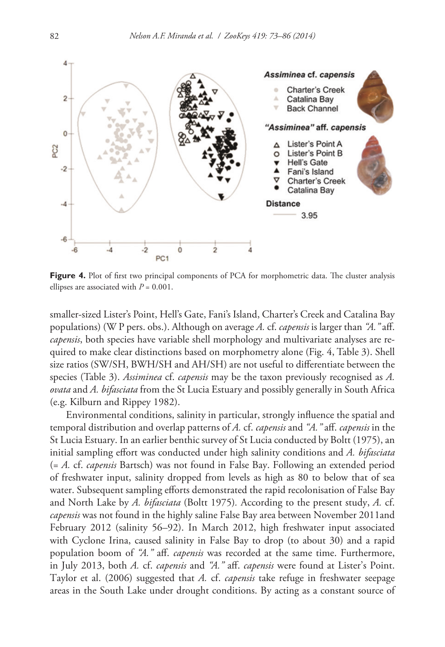

Figure 4. Plot of first two principal components of PCA for morphometric data. The cluster analysis ellipses are associated with  $P = 0.001$ .

smaller-sized Lister's Point, Hell's Gate, Fani's Island, Charter's Creek and Catalina Bay populations) (W P pers. obs.). Although on average *A.* cf. *capensis* is larger than *"A."* aff. *capensis*, both species have variable shell morphology and multivariate analyses are required to make clear distinctions based on morphometry alone (Fig. 4, Table 3). Shell size ratios (SW/SH, BWH/SH and AH/SH) are not useful to differentiate between the species (Table 3). *Assiminea* cf. *capensis* may be the taxon previously recognised as *A. ovata* and *A. bifasciata* from the St Lucia Estuary and possibly generally in South Africa (e.g. Kilburn and Rippey 1982).

Environmental conditions, salinity in particular, strongly influence the spatial and temporal distribution and overlap patterns of *A.* cf. *capensis* and *"A."* aff. *capensis* in the St Lucia Estuary. In an earlier benthic survey of St Lucia conducted by Boltt (1975), an initial sampling effort was conducted under high salinity conditions and *A. bifasciata*  (= *A.* cf. *capensis* Bartsch) was not found in False Bay. Following an extended period of freshwater input, salinity dropped from levels as high as 80 to below that of sea water. Subsequent sampling efforts demonstrated the rapid recolonisation of False Bay and North Lake by *A. bifasciata* (Boltt 1975)*.* According to the present study, *A.* cf. *capensis* was not found in the highly saline False Bay area between November 2011and February 2012 (salinity 56–92). In March 2012, high freshwater input associated with Cyclone Irina, caused salinity in False Bay to drop (to about 30) and a rapid population boom of *"A."* aff. *capensis* was recorded at the same time. Furthermore, in July 2013, both *A.* cf. *capensis* and *"A."* aff. *capensis* were found at Lister's Point. Taylor et al. (2006) suggested that *A.* cf. *capensis* take refuge in freshwater seepage areas in the South Lake under drought conditions. By acting as a constant source of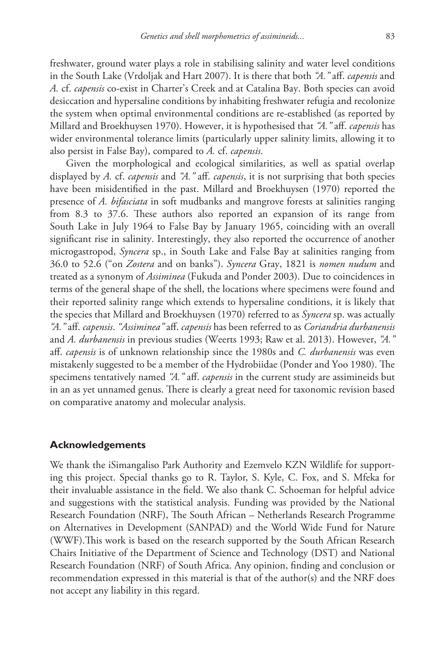freshwater, ground water plays a role in stabilising salinity and water level conditions in the South Lake (Vrdoljak and Hart 2007). It is there that both *"A."* aff. *capensis* and *A.* cf. *capensis* co-exist in Charter's Creek and at Catalina Bay. Both species can avoid desiccation and hypersaline conditions by inhabiting freshwater refugia and recolonize the system when optimal environmental conditions are re-established (as reported by Millard and Broekhuysen 1970). However, it is hypothesised that *"A."* aff. *capensis* has wider environmental tolerance limits (particularly upper salinity limits, allowing it to also persist in False Bay), compared to *A.* cf. *capensis*.

Given the morphological and ecological similarities, as well as spatial overlap displayed by *A.* cf. *capensis* and *"A."* aff. *capensis*, it is not surprising that both species have been misidentified in the past. Millard and Broekhuysen (1970) reported the presence of *A. bifasciata* in soft mudbanks and mangrove forests at salinities ranging from 8.3 to 37.6. These authors also reported an expansion of its range from South Lake in July 1964 to False Bay by January 1965, coinciding with an overall significant rise in salinity. Interestingly, they also reported the occurrence of another microgastropod, *Syncera* sp., in South Lake and False Bay at salinities ranging from 36.0 to 52.6 ("on *Zostera* and on banks"). *Syncera* Gray, 1821 is *nomen nudum* and treated as a synonym of *Assiminea* (Fukuda and Ponder 2003). Due to coincidences in terms of the general shape of the shell, the locations where specimens were found and their reported salinity range which extends to hypersaline conditions, it is likely that the species that Millard and Broekhuysen (1970) referred to as *Syncera* sp. was actually *"A."* aff. *capensis*. *"Assiminea"* aff. *capensis* has been referred to as *Coriandria durbanensis* and *A. durbanensis* in previous studies (Weerts 1993; Raw et al. 2013). However, *"A."* aff. *capensis* is of unknown relationship since the 1980s and *C. durbanensis* was even mistakenly suggested to be a member of the Hydrobiidae (Ponder and Yoo 1980). The specimens tentatively named *"A."* aff. *capensis* in the current study are assimineids but in an as yet unnamed genus. There is clearly a great need for taxonomic revision based on comparative anatomy and molecular analysis.

## **Acknowledgements**

We thank the iSimangaliso Park Authority and Ezemvelo KZN Wildlife for supporting this project. Special thanks go to R. Taylor, S. Kyle, C. Fox, and S. Mfeka for their invaluable assistance in the field. We also thank C. Schoeman for helpful advice and suggestions with the statistical analysis. Funding was provided by the National Research Foundation (NRF), The South African – Netherlands Research Programme on Alternatives in Development (SANPAD) and the World Wide Fund for Nature (WWF).This work is based on the research supported by the South African Research Chairs Initiative of the Department of Science and Technology (DST) and National Research Foundation (NRF) of South Africa. Any opinion, finding and conclusion or recommendation expressed in this material is that of the author(s) and the NRF does not accept any liability in this regard.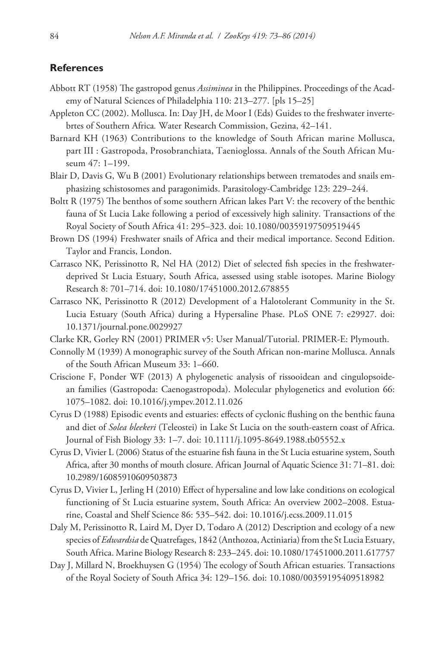#### **References**

- Abbott RT (1958) The gastropod genus *Assiminea* in the Philippines. Proceedings of the Academy of Natural Sciences of Philadelphia 110: 213–277. [pls 15–25]
- Appleton CC (2002). Mollusca. In: Day JH, de Moor I (Eds) Guides to the freshwater invertebrtes of Southern Africa*.* Water Research Commission, Gezina, 42–141.
- Barnard KH (1963) Contributions to the knowledge of South African marine Mollusca, part III : Gastropoda, Prosobranchiata, Taenioglossa. Annals of the South African Museum 47: 1–199.
- Blair D, Davis G, Wu B (2001) Evolutionary relationships between trematodes and snails emphasizing schistosomes and paragonimids. Parasitology-Cambridge 123: 229–244.
- Boltt R (1975) The benthos of some southern African lakes Part V: the recovery of the benthic fauna of St Lucia Lake following a period of excessively high salinity. Transactions of the Royal Society of South Africa 41: 295–323. [doi: 10.1080/00359197509519445](http://dx.doi.org/10.1080/00359197509519445)
- Brown DS (1994) Freshwater snails of Africa and their medical importance. Second Edition. Taylor and Francis, London.
- Carrasco NK, Perissinotto R, Nel HA (2012) Diet of selected fish species in the freshwaterdeprived St Lucia Estuary, South Africa, assessed using stable isotopes. Marine Biology Research 8: 701–714. [doi: 10.1080/17451000.2012.678855](http://dx.doi.org/10.1080/17451000.2012.678855)
- Carrasco NK, Perissinotto R (2012) Development of a Halotolerant Community in the St. Lucia Estuary (South Africa) during a Hypersaline Phase. PLoS ONE 7: e29927. [doi:](http://dx.doi.org/10.1371/journal.pone.0029927) [10.1371/journal.pone.0029927](http://dx.doi.org/10.1371/journal.pone.0029927)
- Clarke KR, Gorley RN (2001) PRIMER v5: User Manual/Tutorial. PRIMER-E: Plymouth.
- Connolly M (1939) A monographic survey of the South African non-marine Mollusca. Annals of the South African Museum 33: 1–660.
- Criscione F, Ponder WF (2013) A phylogenetic analysis of rissooidean and cingulopsoidean families (Gastropoda: Caenogastropoda). Molecular phylogenetics and evolution 66: 1075–1082. [doi: 10.1016/j.ympev.2012.11.026](http://dx.doi.org/10.1016/j.ympev.2012.11.026)
- Cyrus D (1988) Episodic events and estuaries: effects of cyclonic flushing on the benthic fauna and diet of *Solea bleekeri* (Teleostei) in Lake St Lucia on the south-eastern coast of Africa. Journal of Fish Biology 33: 1–7. [doi: 10.1111/j.1095-8649.1988.tb05552.x](http://dx.doi.org/10.1111/j.1095-8649.1988.tb05552.x)
- Cyrus D, Vivier L (2006) Status of the estuarine fish fauna in the St Lucia estuarine system, South Africa, after 30 months of mouth closure. African Journal of Aquatic Science 31: 71–81. [doi:](http://dx.doi.org/10.2989/16085910609503873) [10.2989/16085910609503873](http://dx.doi.org/10.2989/16085910609503873)
- Cyrus D, Vivier L, Jerling H (2010) Effect of hypersaline and low lake conditions on ecological functioning of St Lucia estuarine system, South Africa: An overview 2002–2008. Estuarine, Coastal and Shelf Science 86: 535–542. [doi: 10.1016/j.ecss.2009.11.015](http://dx.doi.org/10.1016/j.ecss.2009.11.015)
- Daly M, Perissinotto R, Laird M, Dyer D, Todaro A (2012) Description and ecology of a new species of *Edwardsia* de Quatrefages, 1842 (Anthozoa, Actiniaria) from the St Lucia Estuary, South Africa. Marine Biology Research 8: 233–245. [doi: 10.1080/17451000.2011.617757](http://dx.doi.org/10.1080/17451000.2011.617757)
- Day J, Millard N, Broekhuysen G (1954) The ecology of South African estuaries. Transactions of the Royal Society of South Africa 34: 129–156. [doi: 10.1080/00359195409518982](http://dx.doi.org/10.1080/00359195409518982)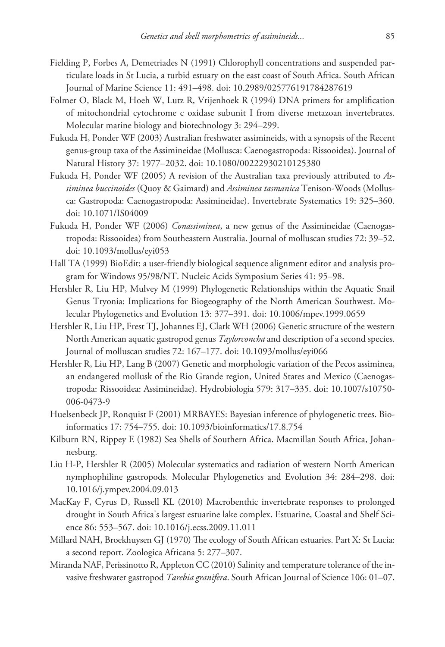- Fielding P, Forbes A, Demetriades N (1991) Chlorophyll concentrations and suspended particulate loads in St Lucia, a turbid estuary on the east coast of South Africa. South African Journal of Marine Science 11: 491–498. [doi: 10.2989/025776191784287619](http://dx.doi.org/10.2989/025776191784287619)
- Folmer O, Black M, Hoeh W, Lutz R, Vrijenhoek R (1994) DNA primers for amplification of mitochondrial cytochrome c oxidase subunit I from diverse metazoan invertebrates. Molecular marine biology and biotechnology 3: 294–299.
- Fukuda H, Ponder WF (2003) Australian freshwater assimineids, with a synopsis of the Recent genus-group taxa of the Assimineidae (Mollusca: Caenogastropoda: Rissooidea). Journal of Natural History 37: 1977–2032. [doi: 10.1080/00222930210125380](http://dx.doi.org/10.1080/00222930210125380)
- Fukuda H, Ponder WF (2005) A revision of the Australian taxa previously attributed to *Assiminea buccinoides* (Quoy & Gaimard) and *Assiminea tasmanica* Tenison-Woods (Mollusca: Gastropoda: Caenogastropoda: Assimineidae). Invertebrate Systematics 19: 325–360. [doi: 10.1071/IS04009](http://dx.doi.org/10.1071/IS04009)
- Fukuda H, Ponder WF (2006) *Conassiminea*, a new genus of the Assimineidae (Caenogastropoda: Rissooidea) from Southeastern Australia. Journal of molluscan studies 72: 39–52. [doi: 10.1093/mollus/eyi053](http://dx.doi.org/10.1093/mollus/eyi053)
- Hall TA (1999) BioEdit: a user-friendly biological sequence alignment editor and analysis program for Windows 95/98/NT. Nucleic Acids Symposium Series 41: 95–98.
- Hershler R, Liu HP, Mulvey M (1999) Phylogenetic Relationships within the Aquatic Snail Genus Tryonia: Implications for Biogeography of the North American Southwest. Molecular Phylogenetics and Evolution 13: 377–391. [doi: 10.1006/mpev.1999.0659](http://dx.doi.org/10.1006/mpev.1999.0659)
- Hershler R, Liu HP, Frest TJ, Johannes EJ, Clark WH (2006) Genetic structure of the western North American aquatic gastropod genus *Taylorconcha* and description of a second species. Journal of molluscan studies 72: 167–177. [doi: 10.1093/mollus/eyi066](http://dx.doi.org/10.1093/mollus/eyi066)
- Hershler R, Liu HP, Lang B (2007) Genetic and morphologic variation of the Pecos assiminea, an endangered mollusk of the Rio Grande region, United States and Mexico (Caenogastropoda: Rissooidea: Assimineidae). Hydrobiologia 579: 317–335. [doi: 10.1007/s10750-](http://dx.doi.org/10.1007/s10750-006-0473-9) [006-0473-9](http://dx.doi.org/10.1007/s10750-006-0473-9)
- Huelsenbeck JP, Ronquist F (2001) MRBAYES: Bayesian inference of phylogenetic trees. Bioinformatics 17: 754–755. [doi: 10.1093/bioinformatics/17.8.754](http://dx.doi.org/10.1093/bioinformatics/17.8.754)
- Kilburn RN, Rippey E (1982) Sea Shells of Southern Africa. Macmillan South Africa, Johannesburg.
- Liu H-P, Hershler R (2005) Molecular systematics and radiation of western North American nymphophiline gastropods. Molecular Phylogenetics and Evolution 34: 284–298. [doi:](http://dx.doi.org/10.1016/j.ympev.2004.09.013) [10.1016/j.ympev.2004.09.013](http://dx.doi.org/10.1016/j.ympev.2004.09.013)
- MacKay F, Cyrus D, Russell KL (2010) Macrobenthic invertebrate responses to prolonged drought in South Africa's largest estuarine lake complex. Estuarine, Coastal and Shelf Science 86: 553–567. [doi: 10.1016/j.ecss.2009.11.011](http://dx.doi.org/10.1016/j.ecss.2009.11.011)
- Millard NAH, Broekhuysen GJ (1970) The ecology of South African estuaries. Part X: St Lucia: a second report. Zoologica Africana 5: 277–307.
- Miranda NAF, Perissinotto R, Appleton CC (2010) Salinity and temperature tolerance of the invasive freshwater gastropod *Tarebia granifera*. South African Journal of Science 106: 01–07.